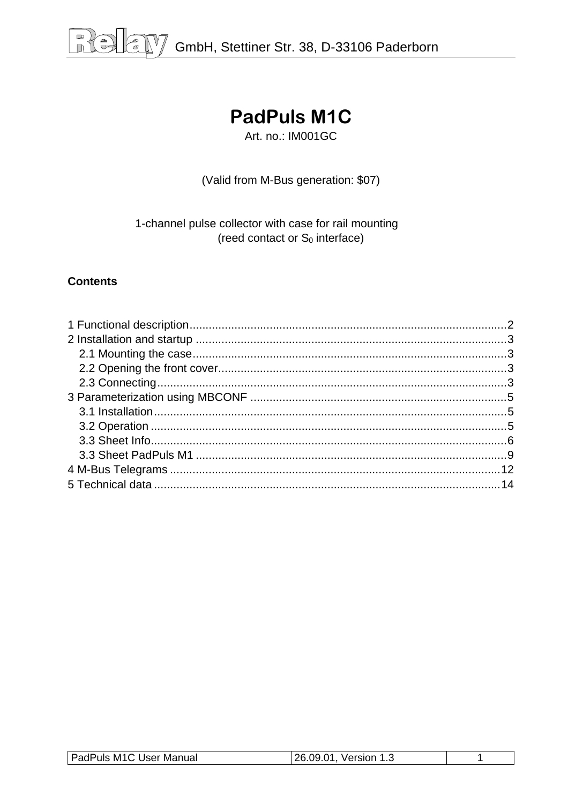## **PadPuls M1C**

Art. no.: IM001GC

(Valid from M-Bus generation: \$07)

1-channel pulse collector with case for rail mounting (reed contact or  $S_0$  interface)

#### **Contents**

| PadPuls M1C User Manual | 26.09.01<br>Version 1.3 |  |
|-------------------------|-------------------------|--|
|                         |                         |  |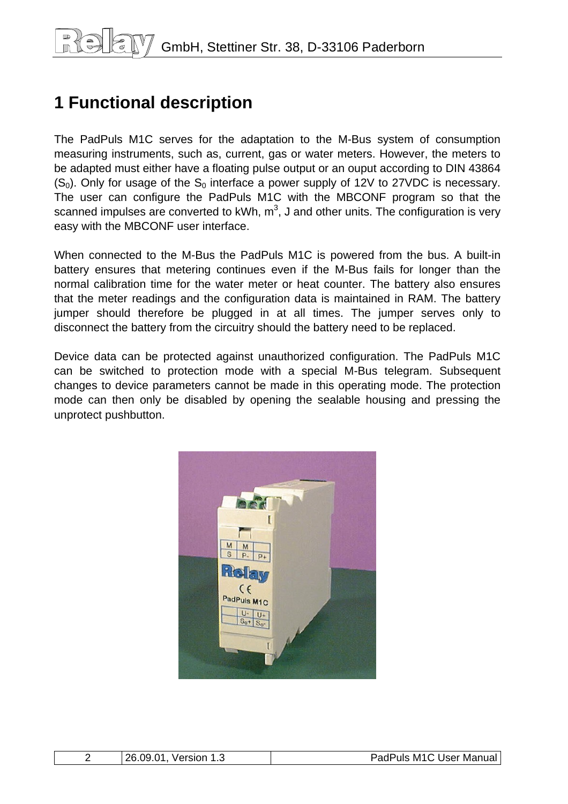## <span id="page-1-0"></span>**1 Functional description**

The PadPuls M1C serves for the adaptation to the M-Bus system of consumption measuring instruments, such as, current, gas or water meters. However, the meters to be adapted must either have a floating pulse output or an ouput according to DIN 43864  $(S<sub>0</sub>)$ . Only for usage of the  $S<sub>0</sub>$  interface a power supply of 12V to 27VDC is necessary. The user can configure the PadPuls M1C with the MBCONF program so that the scanned impulses are converted to kWh, m<sup>3</sup>, J and other units. The configuration is very easy with the MBCONF user interface.

When connected to the M-Bus the PadPuls M1C is powered from the bus. A built-in battery ensures that metering continues even if the M-Bus fails for longer than the normal calibration time for the water meter or heat counter. The battery also ensures that the meter readings and the configuration data is maintained in RAM. The battery jumper should therefore be plugged in at all times. The jumper serves only to disconnect the battery from the circuitry should the battery need to be replaced.

Device data can be protected against unauthorized configuration. The PadPuls M1C can be switched to protection mode with a special M-Bus telegram. Subsequent changes to device parameters cannot be made in this operating mode. The protection mode can then only be disabled by opening the sealable housing and pressing the unprotect pushbutton.



| v.<br> | วค<br>na<br>-94<br>∕ersion | . M11<br>User<br>Manual<br>Puls |
|--------|----------------------------|---------------------------------|
|--------|----------------------------|---------------------------------|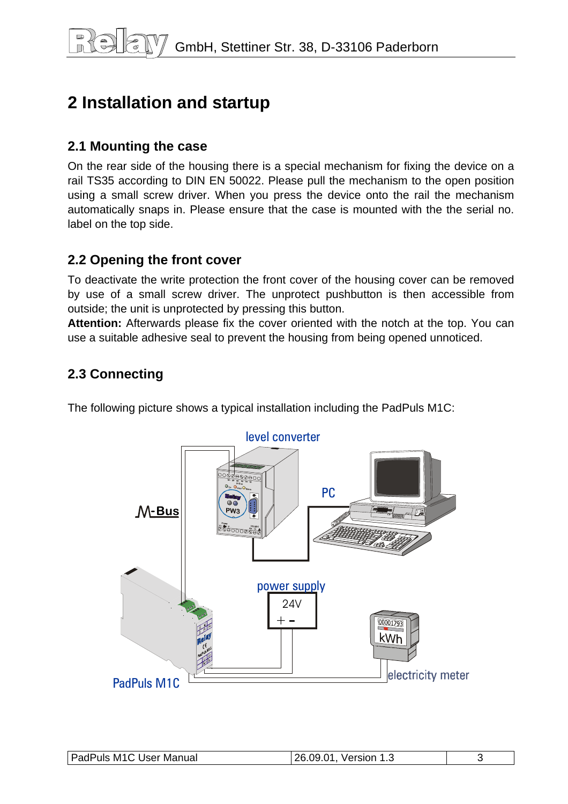## <span id="page-2-0"></span>**2 Installation and startup**

#### **2.1 Mounting the case**

On the rear side of the housing there is a special mechanism for fixing the device on a rail TS35 according to DIN EN 50022. Please pull the mechanism to the open position using a small screw driver. When you press the device onto the rail the mechanism automatically snaps in. Please ensure that the case is mounted with the the serial no. label on the top side.

#### **2.2 Opening the front cover**

To deactivate the write protection the front cover of the housing cover can be removed by use of a small screw driver. The unprotect pushbutton is then accessible from outside; the unit is unprotected by pressing this button.

**Attention:** Afterwards please fix the cover oriented with the notch at the top. You can use a suitable adhesive seal to prevent the housing from being opened unnoticed.

### **2.3 Connecting**

The following picture shows a typical installation including the PadPuls M1C:



| <b>PadPuls M1C User Manual</b> | 26.09.01<br>Version 1.3<br>כ…ו |  |
|--------------------------------|--------------------------------|--|
|                                |                                |  |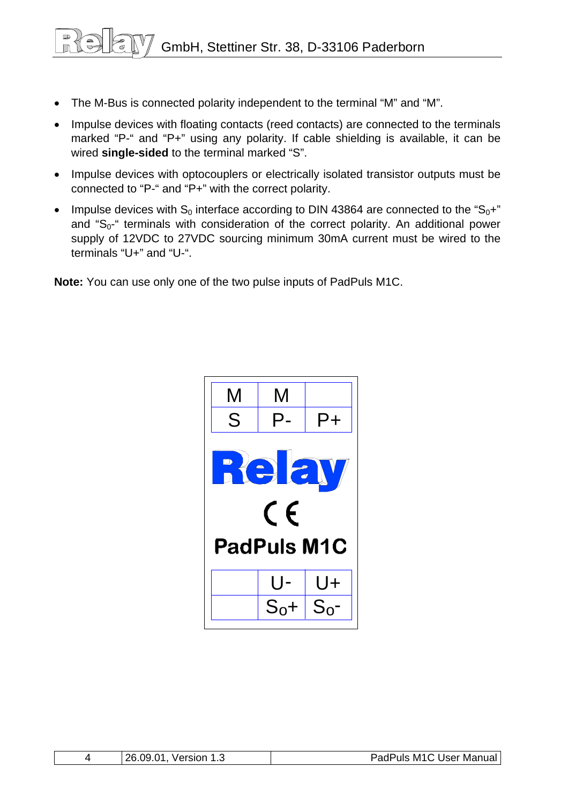GmbH, Stettiner Str. 38, D-33106 Paderborn

- The M-Bus is connected polarity independent to the terminal "M" and "M".
- Impulse devices with floating contacts (reed contacts) are connected to the terminals marked "P-" and "P+" using any polarity. If cable shielding is available, it can be wired **single-sided** to the terminal marked "S".
- Impulse devices with optocouplers or electrically isolated transistor outputs must be connected to "P-" and "P+" with the correct polarity.
- Impulse devices with  $S_0$  interface according to DIN 43864 are connected to the " $S_0$ +" and " $S_0$ -" terminals with consideration of the correct polarity. An additional power supply of 12VDC to 27VDC sourcing minimum 30mA current must be wired to the terminals "U+" and "U-".

**Note:** You can use only one of the two pulse inputs of PadPuls M1C.



| 26.09.<br>.01<br>Version | PadPuls M1C User Manual |
|--------------------------|-------------------------|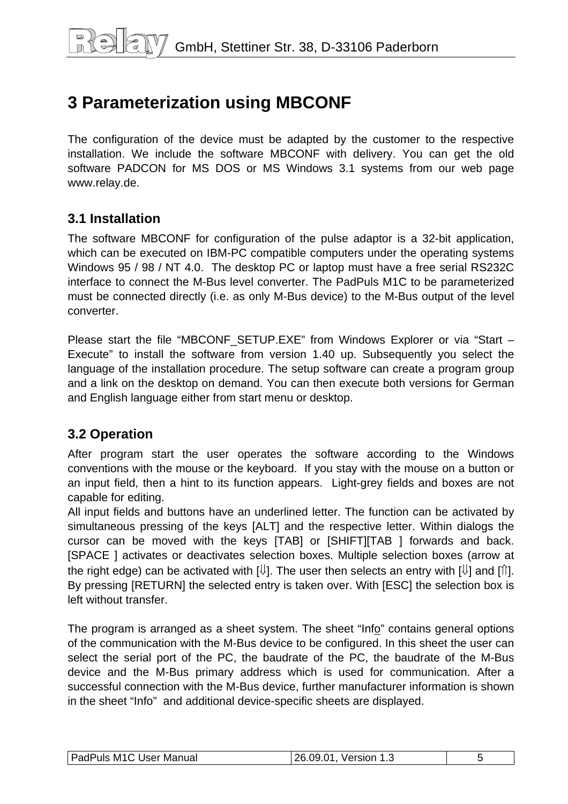## <span id="page-4-0"></span>**3 Parameterization using MBCONF**

The configuration of the device must be adapted by the customer to the respective installation. We include the software MBCONF with delivery. You can get the old software PADCON for MS DOS or MS Windows 3.1 systems from our web page www.relay.de.

#### **3.1 Installation**

The software MBCONF for configuration of the pulse adaptor is a 32-bit application, which can be executed on IBM-PC compatible computers under the operating systems Windows 95 / 98 / NT 4.0. The desktop PC or laptop must have a free serial RS232C interface to connect the M-Bus level converter. The PadPuls M1C to be parameterized must be connected directly (i.e. as only M-Bus device) to the M-Bus output of the level converter.

Please start the file "MBCONF SETUP.EXE" from Windows Explorer or via "Start – Execute" to install the software from version 1.40 up. Subsequently you select the language of the installation procedure. The setup software can create a program group and a link on the desktop on demand. You can then execute both versions for German and English language either from start menu or desktop.

#### **3.2 Operation**

After program start the user operates the software according to the Windows conventions with the mouse or the keyboard. If you stay with the mouse on a button or an input field, then a hint to its function appears. Light-grey fields and boxes are not capable for editing.

All input fields and buttons have an underlined letter. The function can be activated by simultaneous pressing of the keys [ALT] and the respective letter. Within dialogs the cursor can be moved with the keys [TAB] or [SHIFT][TAB ] forwards and back. [SPACE ] activates or deactivates selection boxes. Multiple selection boxes (arrow at the right edge) can be activated with  $[\mathbb{U}]$ . The user then selects an entry with  $[\mathbb{U}]$  and  $[\mathbb{N}]$ . By pressing [RETURN] the selected entry is taken over. With [ESC] the selection box is left without transfer.

The program is arranged as a sheet system. The sheet "Info" contains general options of the communication with the M-Bus device to be configured. In this sheet the user can select the serial port of the PC, the baudrate of the PC, the baudrate of the M-Bus device and the M-Bus primary address which is used for communication. After a successful connection with the M-Bus device, further manufacturer information is shown in the sheet "Info" and additional device-specific sheets are displayed.

| PadPuls M1C User Manual | 1.26.09.01, Version 1.3 |  |
|-------------------------|-------------------------|--|
|-------------------------|-------------------------|--|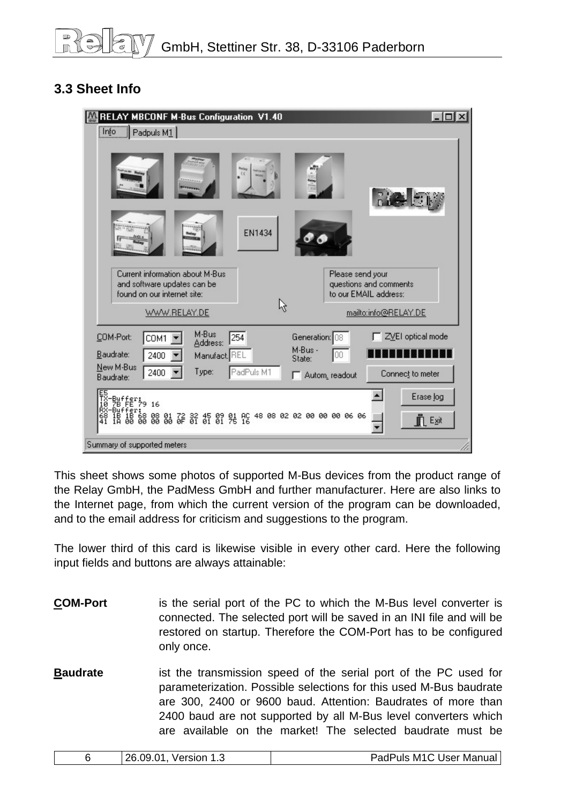### <span id="page-5-0"></span>**3.3 Sheet Info**

| RELAY MBCONF M-Bus Configuration V1.40                                                                                                              | $ \Box$ $\times$                                                                                     |
|-----------------------------------------------------------------------------------------------------------------------------------------------------|------------------------------------------------------------------------------------------------------|
| Info<br>$\Box$ Padpuls M1                                                                                                                           |                                                                                                      |
| C <sub>5</sub><br><b>EN1434</b><br><b>Rains</b><br><b>Chines</b>                                                                                    | <b>Rice E</b> M                                                                                      |
| Current information about M-Bus<br>and software updates can be<br>found on our internet site:<br>ß<br>WWW.RELAY.DE                                  | Please send your<br>questions and comments<br>to our EMAIL address:<br>mailto:info@RELAY.DE          |
| M-Bus<br>254<br>COM-Port:<br>COM1<br>Address:<br>Baudrate:<br>2400<br>Manufact, REL<br>New M-Bus<br>PadPuls M1<br>Type:<br>2400<br>Baudrate:        | ZVEI optical mode<br>Generation: 08<br>M-Bus -<br>00<br>State:<br>Connect to meter<br>Autom, readout |
| 階#t*;<br>階#t*?9 16<br>Buffer:<br>18 18 68 08 01 72 32 45 09 01 AC 48 08 02 02 00 00 00 06 06<br>1A 00 00 00 00 0F 01 01 01 75 16<br>$\frac{68}{41}$ | Erase log<br><b>F</b> Exit                                                                           |
| Summary of supported meters                                                                                                                         |                                                                                                      |

This sheet shows some photos of supported M-Bus devices from the product range of the Relay GmbH, the PadMess GmbH and further manufacturer. Here are also links to the Internet page, from which the current version of the program can be downloaded, and to the email address for criticism and suggestions to the program.

The lower third of this card is likewise visible in every other card. Here the following input fields and buttons are always attainable:

- **COM-Port** is the serial port of the PC to which the M-Bus level converter is connected. The selected port will be saved in an INI file and will be restored on startup. Therefore the COM-Port has to be configured only once.
- **Baudrate** ist the transmission speed of the serial port of the PC used for parameterization. Possible selections for this used M-Bus baudrate are 300, 2400 or 9600 baud. Attention: Baudrates of more than 2400 baud are not supported by all M-Bus level converters which are available on the market! The selected baudrate must be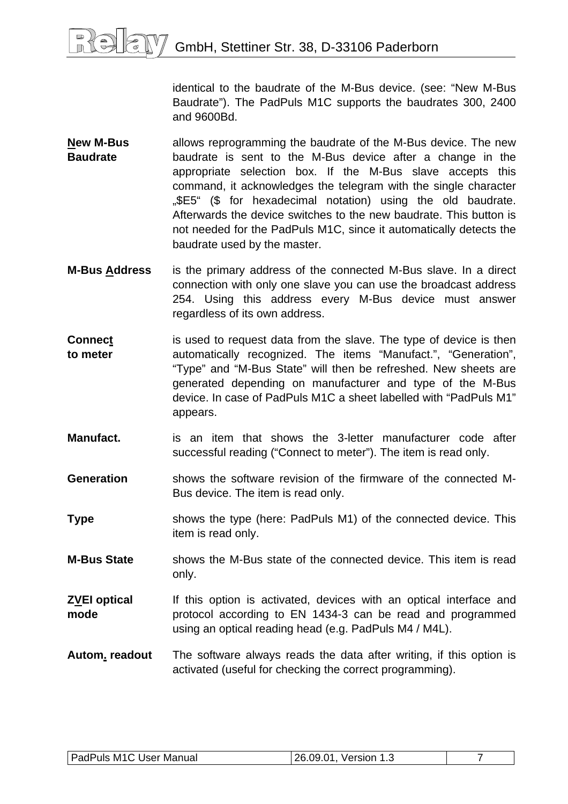identical to the baudrate of the M-Bus device. (see: "New M-Bus Baudrate"). The PadPuls M1C supports the baudrates 300, 2400 and 9600Bd.

- **New M-Bus Baudrate**  allows reprogramming the baudrate of the M-Bus device. The new baudrate is sent to the M-Bus device after a change in the appropriate selection box. If the M-Bus slave accepts this command, it acknowledges the telegram with the single character "\$E5" (\$ for hexadecimal notation) using the old baudrate. Afterwards the device switches to the new baudrate. This button is not needed for the PadPuls M1C, since it automatically detects the baudrate used by the master.
- **M-Bus Address** is the primary address of the connected M-Bus slave. In a direct connection with only one slave you can use the broadcast address 254. Using this address every M-Bus device must answer regardless of its own address.
- **Connect to meter**  is used to request data from the slave. The type of device is then automatically recognized. The items "Manufact.", "Generation", "Type" and "M-Bus State" will then be refreshed. New sheets are generated depending on manufacturer and type of the M-Bus device. In case of PadPuls M1C a sheet labelled with "PadPuls M1" appears.
- **Manufact.** is an item that shows the 3-letter manufacturer code after successful reading ("Connect to meter"). The item is read only.
- **Generation** shows the software revision of the firmware of the connected M-Bus device. The item is read only.
- **Type** shows the type (here: PadPuls M1) of the connected device. This item is read only.
- **M-Bus State** shows the M-Bus state of the connected device. This item is read only.
- **ZVEI optical mode**  If this option is activated, devices with an optical interface and protocol according to EN 1434-3 can be read and programmed using an optical reading head (e.g. PadPuls M4 / M4L).
- **Autom. readout** The software always reads the data after writing, if this option is activated (useful for checking the correct programming).

| <b>PadPuls M1C User Manual</b> | 26.09.01<br>. Version 1.2 |  |
|--------------------------------|---------------------------|--|
|                                |                           |  |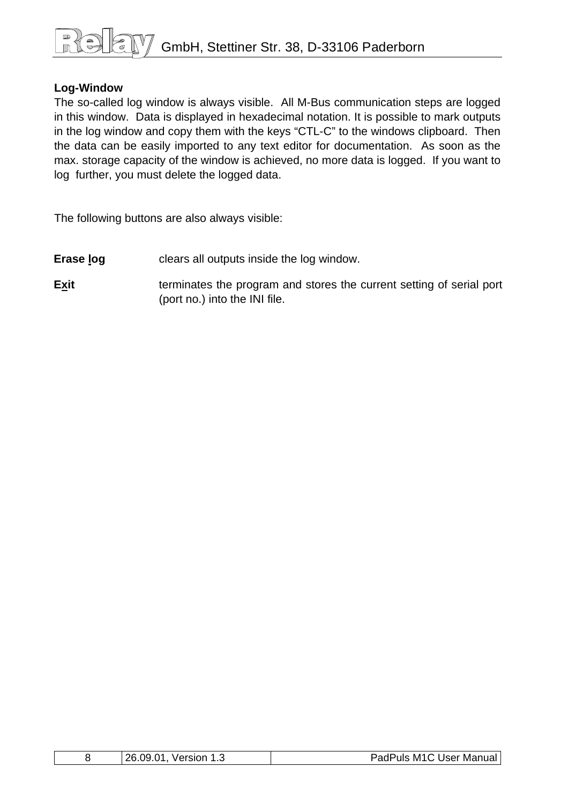# GmbH, Stettiner Str. 38, D-33106 Paderborn

#### **Log-Window**

The so-called log window is always visible. All M-Bus communication steps are logged in this window. Data is displayed in hexadecimal notation. It is possible to mark outputs in the log window and copy them with the keys "CTL-C" to the windows clipboard. Then the data can be easily imported to any text editor for documentation. As soon as the max. storage capacity of the window is achieved, no more data is logged. If you want to log further, you must delete the logged data.

The following buttons are also always visible:

- **Erase log clears all outputs inside the log window.**
- **Exit Exit terminates the program and stores the current setting of serial port** (port no.) into the INI file.

|  | 26.09.01<br><b>Version</b><br>ں. ا | PadPuls M1C User Manual |
|--|------------------------------------|-------------------------|
|--|------------------------------------|-------------------------|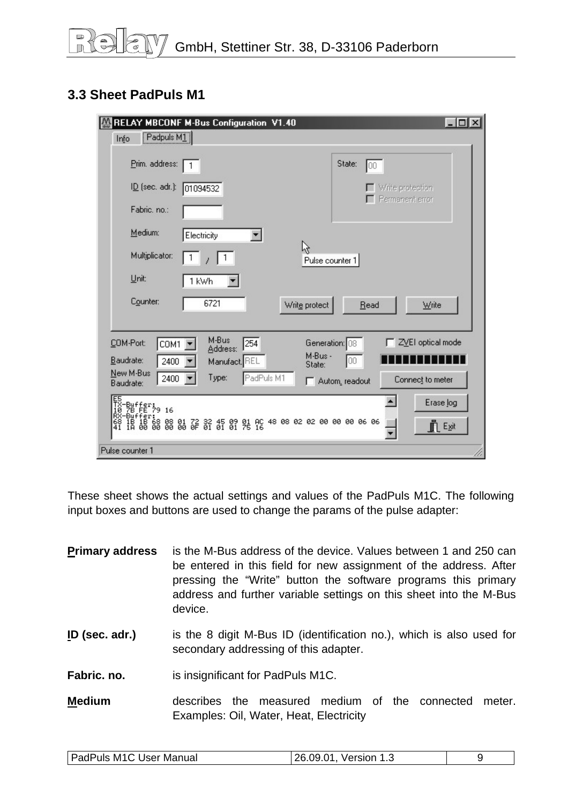### <span id="page-8-0"></span>**3.3 Sheet PadPuls M1**

| RELAY MBCONF M-Bus Configuration V1.40                                                                                               | $ \Box$ $\times$                        |
|--------------------------------------------------------------------------------------------------------------------------------------|-----------------------------------------|
| $\boxed{\text{Padpuls } \text{M1}}$<br>Info                                                                                          |                                         |
| Prim. address:                                                                                                                       | State:<br>100                           |
| $I\underline{D}$ (sec. adr.):<br>01094532                                                                                            | Write protection                        |
| Fabric. no.:                                                                                                                         | Permanent error                         |
| Medium:<br>Electricity                                                                                                               |                                         |
| Multiplicator:                                                                                                                       | ド<br>Pulse counter 1                    |
| Unit:<br>1 kWh                                                                                                                       |                                         |
| Counter:<br>6721                                                                                                                     | Write protect<br>Write<br>Read          |
|                                                                                                                                      |                                         |
| M-Bus<br>254<br>COM-Port:<br>COM1<br>Address:                                                                                        | ZVEI optical mode<br>Generation: 08     |
| Baudrate:<br>2400<br>Manufact. REL                                                                                                   | M-Bus -<br>00<br>State:                 |
| New M-Bus<br>PadPuls M1<br>Type:<br>2400<br>Baudrate:                                                                                | Connect to meter<br>Autom, readout<br>п |
| -Buffer:<br>78 FE 79 16                                                                                                              | $\blacktriangle$<br>Erase log           |
| :Fer:<br>1B 68 08 01 72 32 45 09 01 AC 48 08 02 02 00 00 00 06 06<br>00 00 00 00 06 0F 01 01 01 75 16<br>IB<br>18<br>$\frac{68}{41}$ | <b>FLExit</b>                           |
| Pulse counter 1                                                                                                                      |                                         |

These sheet shows the actual settings and values of the PadPuls M1C. The following input boxes and buttons are used to change the params of the pulse adapter:

| <b>Primary address</b> | is the M-Bus address of the device. Values between 1 and 250 can<br>be entered in this field for new assignment of the address. After<br>pressing the "Write" button the software programs this primary<br>address and further variable settings on this sheet into the M-Bus<br>device. |
|------------------------|------------------------------------------------------------------------------------------------------------------------------------------------------------------------------------------------------------------------------------------------------------------------------------------|
| ID (sec. adr.)         | is the 8 digit M-Bus ID (identification no.), which is also used for<br>secondary addressing of this adapter.                                                                                                                                                                            |
| Fabric, no.            | is insignificant for PadPuls M1C.                                                                                                                                                                                                                                                        |
| <b>Medium</b>          | measured medium of the connected<br>describes the<br>meter.<br>Examples: Oil, Water, Heat, Electricity                                                                                                                                                                                   |

|--|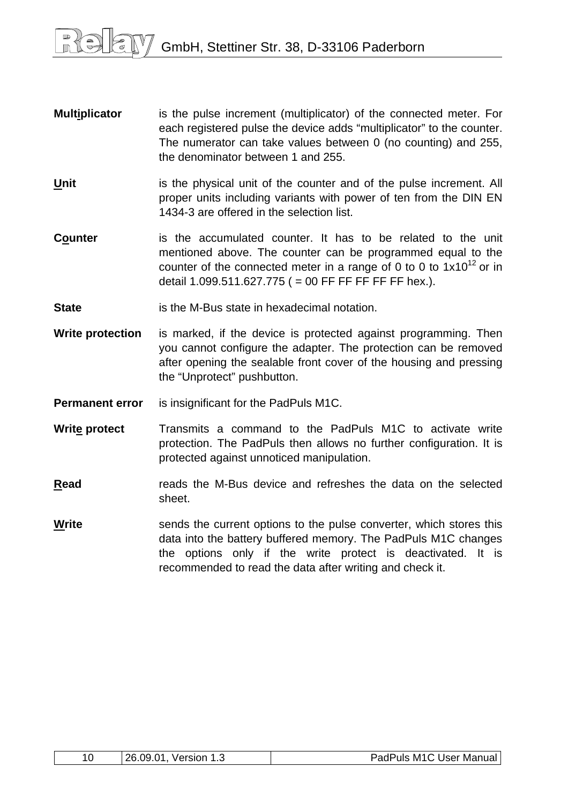- **Multiplicator** is the pulse increment (multiplicator) of the connected meter. For each registered pulse the device adds "multiplicator" to the counter. The numerator can take values between 0 (no counting) and 255, the denominator between 1 and 255.
- **Unit** is the physical unit of the counter and of the pulse increment. All proper units including variants with power of ten from the DIN EN 1434-3 are offered in the selection list.
- **Counter** is the accumulated counter. It has to be related to the unit mentioned above. The counter can be programmed equal to the counter of the connected meter in a range of 0 to 0 to  $1x10^{12}$  or in detail  $1.099.511.627.775$  ( = 00 FF FF FF FF FF hex.).
- **State is the M-Bus state in hexadecimal notation.**
- **Write protection** is marked, if the device is protected against programming. Then you cannot configure the adapter. The protection can be removed after opening the sealable front cover of the housing and pressing the "Unprotect" pushbutton.
- **Permanent error** is insignificant for the PadPuls M1C.
- **Write protect** Transmits a command to the PadPuls M1C to activate write protection. The PadPuls then allows no further configuration. It is protected against unnoticed manipulation.
- **Read** reads the M-Bus device and refreshes the data on the selected sheet.
- **Write** sends the current options to the pulse converter, which stores this data into the battery buffered memory. The PadPuls M1C changes the options only if the write protect is deactivated. It is recommended to read the data after writing and check it.

| 10 | 26.09.01<br>Version<br>ن. ا | PadPuls M1C User Manual |
|----|-----------------------------|-------------------------|
|----|-----------------------------|-------------------------|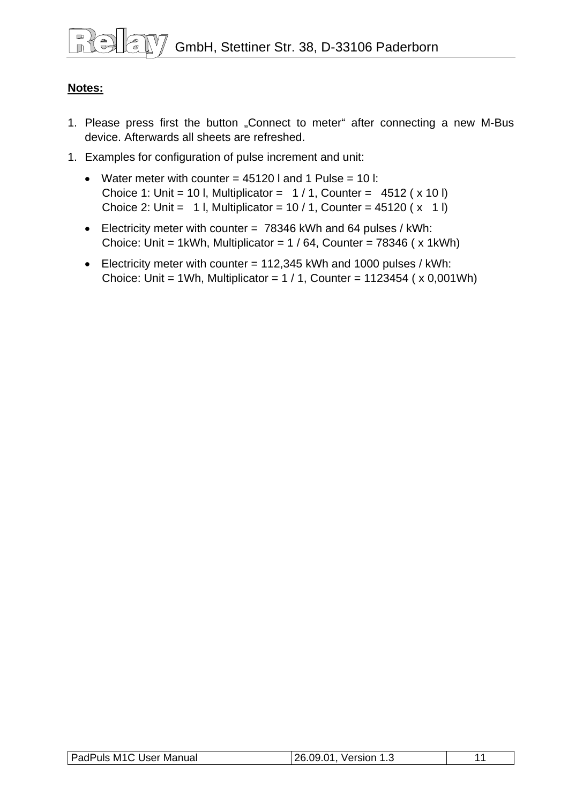#### **Notes:**

- 1. Please press first the button "Connect to meter" after connecting a new M-Bus device. Afterwards all sheets are refreshed.
- 1. Examples for configuration of pulse increment and unit:
	- Water meter with counter  $= 45120$  I and 1 Pulse  $= 10$  I: Choice 1: Unit = 10 l, Multiplicator =  $1/1$ , Counter = 4512 ( $\times$  10 l) Choice 2: Unit = 1 l, Multiplicator =  $10/1$ , Counter =  $45120$  ( $\times$  1 l)
	- Electricity meter with counter = 78346 kWh and 64 pulses / kWh: Choice: Unit = 1kWh, Multiplicator =  $1/64$ , Counter = 78346 ( $\times$  1kWh)
	- Electricity meter with counter = 112,345 kWh and 1000 pulses / kWh: Choice: Unit = 1Wh, Multiplicator =  $1/1$ , Counter = 1123454 ( $\times$  0,001Wh)

| <b>PadPuls M1C User Manual</b> | າຂ<br>.N1<br>Version 1.:<br>റവ<br>1.3 | . . |
|--------------------------------|---------------------------------------|-----|
|                                |                                       |     |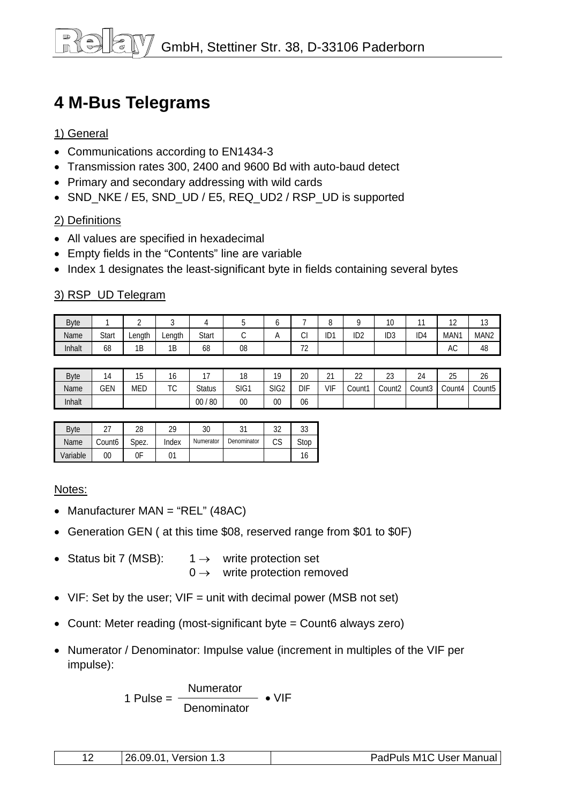### <span id="page-11-0"></span>**4 M-Bus Telegrams**

#### 1) General

- Communications according to EN1434-3
- Transmission rates 300, 2400 and 9600 Bd with auto-baud detect
- Primary and secondary addressing with wild cards
- SND\_NKE / E5, SND\_UD / E5, REQ\_UD2 / RSP\_UD is supported

#### 2) Definitions

- All values are specified in hexadecimal
- Empty fields in the "Contents" line are variable
- Index 1 designates the least-significant byte in fields containing several bytes

#### 3) RSP\_UD Telegram

| <b>Byte</b> |              |        |        |       |    |                                    | $\overline{\phantom{0}}$<br>ŏ |                 | 10<br>ט ו       | $\sim$          | $\sim$<br>. .    | $\sim$<br>ں ا    |
|-------------|--------------|--------|--------|-------|----|------------------------------------|-------------------------------|-----------------|-----------------|-----------------|------------------|------------------|
| Name        | <b>Start</b> | Lenath | ∟ength | Start | ◟. | $\sim$<br>◡                        | ID1                           | ID <sub>2</sub> | ID <sub>3</sub> | ID <sub>4</sub> | MAN <sub>1</sub> | MAN <sub>2</sub> |
| Inhalt      | 68           | 1B     | 1B     | 68    | 08 | $\overline{\phantom{a}}$<br>$\sim$ |                               |                 |                 |                 | AC               | 48               |

| <b>Byte</b> | $\overline{ }$<br>$\mu$ | $\sim$<br>5 | טו                | $\sim$        | 18   | 10               | 20         | $\sim$<br>∠ | $\sim$<br><u>__</u> | $\sim$<br>ںے       | 24     | つに<br>∠J | $\sim$<br>26 |
|-------------|-------------------------|-------------|-------------------|---------------|------|------------------|------------|-------------|---------------------|--------------------|--------|----------|--------------|
| Name        | GEN                     | <b>MED</b>  | $T^{\wedge}$<br>◡ | <b>Status</b> | SIG1 | SIG <sub>2</sub> | <b>DIF</b> | VIF         | Count1              | Count <sub>2</sub> | Count3 | Count4   | Count5       |
| Inhalt      |                         |             |                   | 80<br>$00\,$  | 00   | 00               | 06         |             |                     |                    |        |          |              |

| <b>B</b> vte |        | 28    | ገዐ    | 30        |             | າາ       | n o<br>υJ |
|--------------|--------|-------|-------|-----------|-------------|----------|-----------|
| Name         | Count6 | Spez. | Index | Numerator | Denominator | rr<br>υJ | Stop      |
| Variable     | 00     | 0F    |       |           |             |          |           |

#### Notes:

- Manufacturer MAN = "REL" (48AC)
- Generation GEN ( at this time \$08, reserved range from \$01 to \$0F)
- Status bit 7 (MSB):  $1 \rightarrow$  write protection set  $0 \rightarrow$  write protection removed
- VIF: Set by the user; VIF = unit with decimal power (MSB not set)
- Count: Meter reading (most-significant byte = Count6 always zero)
- Numerator / Denominator: Impulse value (increment in multiples of the VIF per impulse):

Numerator 1 Pulse = • VIF **Denominator** 

| 26.09.01<br>Version | PadPuls M1C User Manual |
|---------------------|-------------------------|
|---------------------|-------------------------|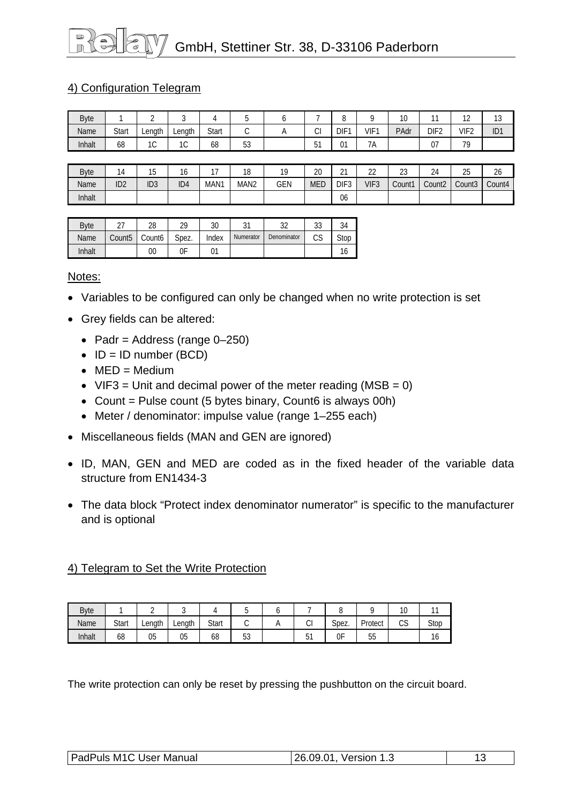# GmbH, Stettiner Str. 38, D-33106 Paderborn

#### 4) Configuration Telegram

| <b>Byte</b> |       |              |             |       |                     |          |              | -<br>◡           |                     | $\sim$<br>$\cdot$ U |                  | $\sim$<br>$\epsilon$ | $\sim$<br>ں ا   |
|-------------|-------|--------------|-------------|-------|---------------------|----------|--------------|------------------|---------------------|---------------------|------------------|----------------------|-----------------|
| Name        | Start | Lenath       | Lenath      | Start | ⌒<br>◡              | $\cdots$ | ົ<br>U       | DIF <sup>-</sup> | VIF <sup>1</sup>    | PAdr                | DIF <sub>2</sub> | VIF <sub>2</sub>     | ID <sub>1</sub> |
| Inhalt      | 68    | $\sim$<br>טו | $\sim$<br>◡ | 68    | $\mathsf{r}$<br>ັບບ |          | $-4$<br>ັບ ເ | 01               | $\sim$ $\sim$<br>7A |                     | $\sim$<br>v,     | 70                   |                 |

| <b>Byte</b> |                 | ن ا             | ١o              |      | 10<br>O          | 10         | ററ<br>۷J | $\sim$<br><u>_</u> | $\sim$<br><u>__</u> | $\sim$<br>ں ے | $\sim$<br>24       | つに<br>∠J           | 26     |
|-------------|-----------------|-----------------|-----------------|------|------------------|------------|----------|--------------------|---------------------|---------------|--------------------|--------------------|--------|
| Name        | ID <sub>2</sub> | ID <sub>3</sub> | ID <sub>4</sub> | MAN1 | MAN <sub>2</sub> | <b>GEN</b> | MED      | DIF <sub>3</sub>   | VIF <sub>3</sub>    | Count1        | Count <sub>2</sub> | Count <sub>3</sub> | Count4 |
| Inhalt      |                 |                 |                 |      |                  |            |          | 06                 |                     |               |                    |                    |        |

| <b>B</b> vte |                    | 28                 | 29    | 30    | ۰ر-<br>ັ  | າາ<br>ັ     | აა       | 34   |
|--------------|--------------------|--------------------|-------|-------|-----------|-------------|----------|------|
| Name         | Count <sub>5</sub> | Count <sub>6</sub> | Spez. | Index | Numerator | Denominator | ∩c<br>ıэ | Stop |
| Inhalt       |                    | 00                 | 0F    | 01    |           |             |          | ١o   |

#### Notes:

- Variables to be configured can only be changed when no write protection is set
- Grey fields can be altered:
	- Padr = Address (range  $0-250$ )
	- $\bullet$  ID = ID number (BCD)
	- $\bullet$  MED = Medium
	- VIF3 = Unit and decimal power of the meter reading (MSB =  $0$ )
	- Count = Pulse count  $(5 \text{ bytes binary}, \text{Count6 is always } 00\text{h})$
	- Meter / denominator: impulse value (range 1–255 each)
- Miscellaneous fields (MAN and GEN are ignored)
- ID, MAN, GEN and MED are coded as in the fixed header of the variable data structure from EN1434-3
- The data block "Protect index denominator numerator" is specific to the manufacturer and is optional

#### 4) Telegram to Set the Write Protection

| <b>Byte</b> |       |        | ັ      |       | v        | ъ. |        | ◡     |            | ×<br>$\sim$ |      |
|-------------|-------|--------|--------|-------|----------|----|--------|-------|------------|-------------|------|
| Name        | Start | Length | Length | Start | ັ        |    | ⌒<br>◡ | Spez. | Protect    | $\sim$<br>w | Stop |
| Inhalt      | 68    | 05     | 05     | 68    | 52<br>ບບ |    | ັ      | 0F    | $ -$<br>JJ |             | ιo   |

The write protection can only be reset by pressing the pushbutton on the circuit board.

| PadPuls M1C User Manual | 26.09.01, Version 1.3 |  |
|-------------------------|-----------------------|--|
|                         |                       |  |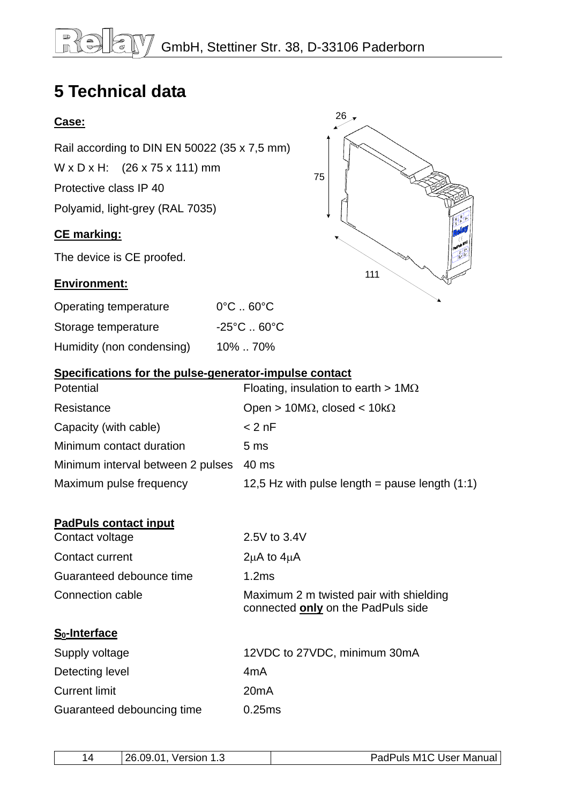## <span id="page-13-0"></span>**5 Technical data**

Rail according to DIN EN 50022 (35 x 7,5 mm)

 $W \times D \times H$ : (26 x 75 x 111) mm

Protective class IP 40

Polyamid, light-grey (RAL 7035)

#### **CE marking:**

The device is CE proofed.

#### **Environment:**

| Operating temperature     | $0^{\circ}$ C $\ldots$ 60 $^{\circ}$ C |
|---------------------------|----------------------------------------|
| Storage temperature       | $-25^{\circ}$ C  60 $^{\circ}$ C       |
| Humidity (non condensing) | 10%70%                                 |



#### **Specifications for the pulse-generator-impulse contact**

| Potential                         | Floating, insulation to earth $> 1 \text{M}\Omega$ |
|-----------------------------------|----------------------------------------------------|
| Resistance                        | Open > 10M $\Omega$ , closed < 10k $\Omega$        |
| Capacity (with cable)             | $< 2$ nF                                           |
| Minimum contact duration          | 5 <sub>ms</sub>                                    |
| Minimum interval between 2 pulses | 40 ms                                              |
| Maximum pulse frequency           | 12,5 Hz with pulse length = pause length $(1:1)$   |

#### **PadPuls contact input**

| Contact voltage          | 2.5V to 3.4V                                                                  |
|--------------------------|-------------------------------------------------------------------------------|
| Contact current          | $2\mu A$ to $4\mu A$                                                          |
| Guaranteed debounce time | 1.2ms                                                                         |
| Connection cable         | Maximum 2 m twisted pair with shielding<br>connected only on the PadPuls side |

#### **S0-Interface**

| Supply voltage             | 12VDC to 27VDC, minimum 30mA |
|----------------------------|------------------------------|
| Detecting level            | 4mA                          |
| <b>Current limit</b>       | 20mA                         |
| Guaranteed debouncing time | 0.25ms                       |

|  | 26.09.01<br>Version 1.<br>. ت | PadPuls M1C User Manual |
|--|-------------------------------|-------------------------|
|--|-------------------------------|-------------------------|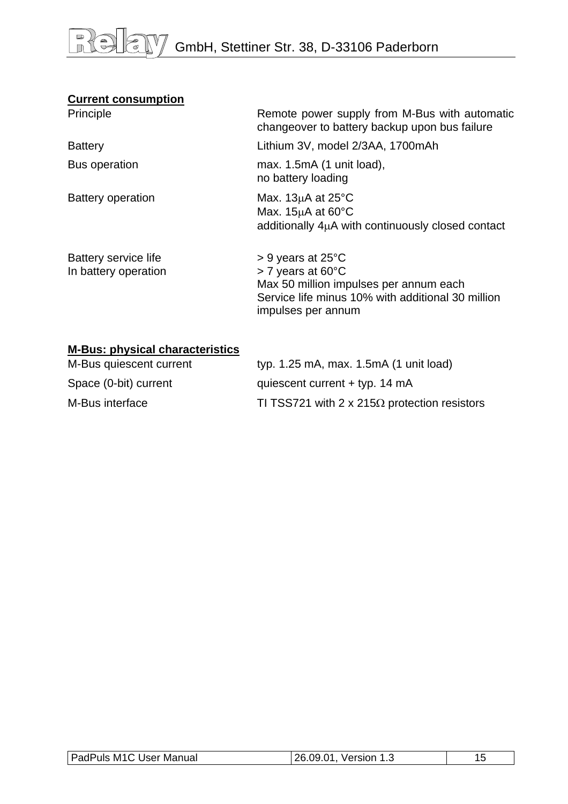#### **Current consumption**

| Principle                                    | Remote power supply from M-Bus with automatic<br>changeover to battery backup upon bus failure                                                                                       |
|----------------------------------------------|--------------------------------------------------------------------------------------------------------------------------------------------------------------------------------------|
| <b>Battery</b>                               | Lithium 3V, model 2/3AA, 1700mAh                                                                                                                                                     |
| <b>Bus operation</b>                         | max. $1.5mA$ (1 unit load),<br>no battery loading                                                                                                                                    |
| <b>Battery operation</b>                     | Max. $13\mu A$ at $25^{\circ}C$<br>Max. $15\mu$ A at 60 $\degree$ C<br>additionally $4\mu A$ with continuously closed contact                                                        |
| Battery service life<br>In battery operation | $> 9$ years at 25 $\degree$ C<br>$>$ 7 years at 60 $^{\circ}$ C<br>Max 50 million impulses per annum each<br>Service life minus 10% with additional 30 million<br>impulses per annum |

#### **M-Bus: physical characteristics**

| M-Bus quiescent current | typ. $1.25$ mA, max. $1.5$ mA $(1 \text{ unit load})$ |
|-------------------------|-------------------------------------------------------|
| Space (0-bit) current   | quiescent current $+$ typ. 14 mA                      |
| M-Bus interface         | TI TSS721 with 2 x 215 $\Omega$ protection resistors  |

| <b>PadPuls M1C User Manual</b> | l 26.09.01,<br>Version 1.3<br>د. ا |  |
|--------------------------------|------------------------------------|--|
|                                |                                    |  |